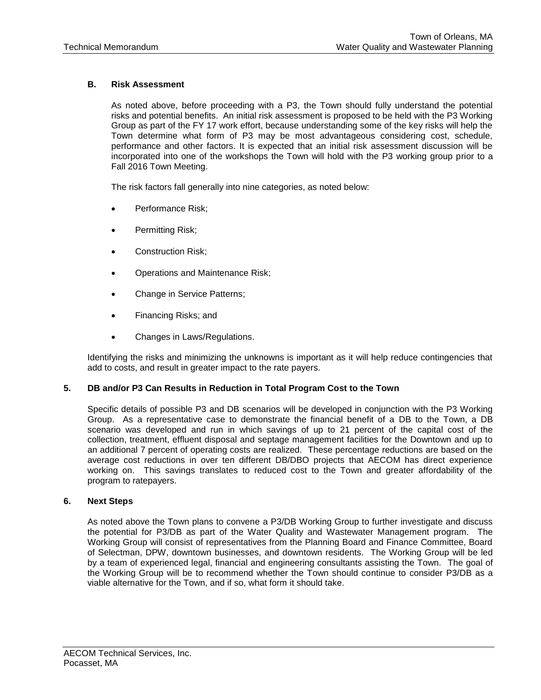

# Memorandum

| To                    | George Meservey, Director of Planning & Community Development<br>Michael Domenica, PE, Program Manager                                                                                                   |  |  |
|-----------------------|----------------------------------------------------------------------------------------------------------------------------------------------------------------------------------------------------------|--|--|
| CC                    | Betsy Shreve, AICP, AECOM Project Director<br>Mark Abrahams, The Abrahams Group<br>Matt Abrahams, The Abrahams Group<br>Paula Winchell, AECOM                                                            |  |  |
| Subject               | <b>Town of Orleans, MA</b><br><b>Water Quality and Wastewater Planning</b><br><b>Task Number 5 - Financial Evaluation</b><br>Deliverable 5.d.5 - Technical Memorandum Public Private Partnership Options |  |  |
| <b>Project Number</b> | 60476644                                                                                                                                                                                                 |  |  |
| From                  | Thomas Parece, P.E., AECOM Project Manager                                                                                                                                                               |  |  |
| Date                  | 06/03/16 (Revised 07/05/16)                                                                                                                                                                              |  |  |

### **1. Purpose**

This memorandum defines Public Private Partnerships (P3), identifies some of their key advantages and disadvantages, and provides a discussion of potential use of P3 in support of Orleans Water Quality and Wastewater Management program. P3 has the potential to save the Town substantial amounts of money through the opportunity to partner with a private entity to construct, operate, maintain, and/or finance wastewater treatment and effluent disposal, and septage management. The opportunities for P3 in Orleans are primarily focused on potential sewering of the Downtown Area.

# **2. Introduction**

# **A. Definition of Public Private Partnerships (P3), Key Participants and Respective Roles**

Numerous sources define the term P3 as "a long-term contract between a private party and a government entity, for providing a public asset or service, in which the private party bears significant risk and management responsibility, and remuneration is linked to performance" (PPP Knowledge Lab). A P3 may be desirable because of the potential to reduce costs through private developer efficiencies and use of alternative procurement strategies to reduce contracting and labor resource requirements. There are several key participants in a P3. These include the public entity (Town of Orleans) as the owner; the private developer or the equity partner; a financial advisor to develop financial model and/or possible payment structure; a legal advisor to develop the legal agreement; and a technical advisor to provide technical review and guidance on compliance requirements. Depending on the desires of the Town, the key participants may also include a separate facility contract operator.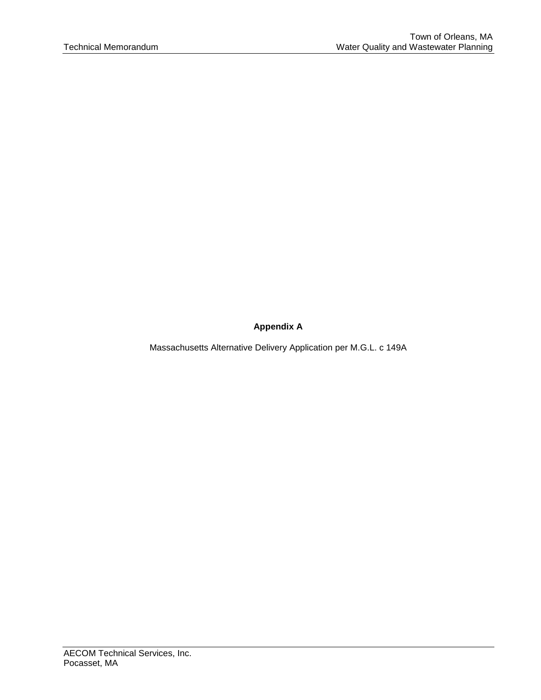# **B. Overview of Use/Function of P3 in Water Quality and Wastewater Planning; Reducing Cost and Increasing Affordability**

The primary use of P3 in water quality and wastewater planning is to introduce private equity and management structure into the construction and operation of the wastewater infrastructure, potentially reducing overall construction and operations costs, and thus the outlay of public dollars and associated financial burden to ratepayers. Private equity in water quality and wastewater programs has been demonstrated in many cases to reduce overall project costs due to lower labor costs (i.e. avoiding need to comply with Davis Bacon Act), to reduce costs due to more aggressive, professional management techniques (e.g. equipment inventory sharing) and to produce an expedited overall implementation schedule.

In addition to cost reduction, P3 has the potential benefit of reducing risk to the public entity by shifting some of the performance, construction, operation and compliance risks to the private entity. All risks must be evaluated closely when considering a P3 to confirm suitability for a particular application. The evaluation of risk is often done through having the key participants complete a risk assessment to evaluate all aspects of the project, from pre-development through construction and operations and monitoring. Allocation of final risk is then documented in a contractual agreement between the owner and private entity.

# **C. Design Build or Design Build Operate as Possible Procurement Option.**

Design-Build (DB) is a form of project implementation in a P3. However, DB has been successfully utilized on many water and wastewater projects in New England and nationally even when these projects are not P3. In a DB, the Town would select and execute a single contract with a single entity to both design and construct the desired facility. There are two types of design-build project implementation being commonly used in water and wastewater projects. These are progressive design build and fixed price design build.

In a progressive design build the procurement is conducted in two phases. In Phase 1 the Owner develops a request for proposals and conducts a qualifications based selection (QBS) selection of a design build firm based on qualifications, experience, and in some cases preliminary engineering services. In Phase 2 the selected DB firm conducts engineering to approximately the 60% design level and provides the Owner with a Guaranteed Maximum Price (GMP) to complete the design and construct the project. If the GMP is accepted by the Owner, the DB firm completes the design and construction of the project. The Owner also has the option of not accepting the GMP and completing the project on a traditional basis if it deems this approach to be in its best interest. Advantages of a progressive DB approach include all the typical advantages of a design build project such as quicker implementation, single source responsibility, and shifting of risks from the Owner to the design builder. Other advantages can include reduced up front procurement costs for the Owner because significant bridging documents such as an indicative design need not be produced by the Owner to implement a progressive design build.

In a fixed price design build procurement the Owner typically completes, with the services of a technical advisor, a basis of design report and/or 25 to 30 percent preliminary design documents of the facilities to be constructed, to provide a basis for soliciting DB proposals. The Town may also go through a pre-qualification process to request and review bidder qualifications and generate a short list of three but no more than five potential DB teams. The Owner's technical advisor may also serve as the Owner's Representative for the procurement of the contractor, and provide oversight during the remaining design and construction phases of the project.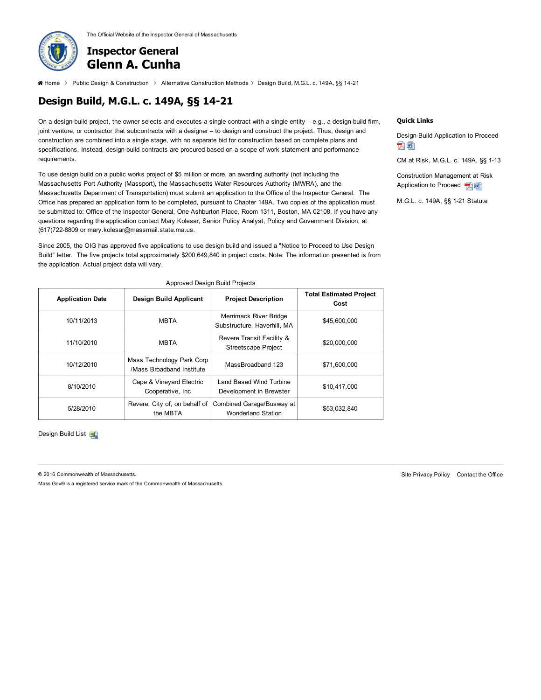Design-build represents a complete integration of engineering design, procurement and construction, and often results in expedited schedules due to the elimination of separate bidding step and the ability to fast track the project, fewer change orders and claims, collaboration between all the project parties, shifting of risk to the DB contractor, and provides early price certainty for the Owner. A design build project can also contain an operations component. In a design-build-operate (DBO) project, the DBO contractor would also operate the facility.

Because of the advantages described above design build is becoming a popular project implementation method nationwide. AECOM's experience with DB or DBO projects are they can reduce capital costs by an average of 21 percent over traditional project delivery and may reduce O&M costs by an average of 5 percent. DB also has potential to reduce the overall time for project implementation by 6 to 12 months due to reduced procurement time and the ability to fast track Depending on the size of the project, the design build phase (engineering, permitting, and construction) can take between 24-30 months. When operations are included the typical length for the operations contracts are between 10 and 20 years with potential for renewal at the Owner's discretion.

In Massachusetts alternative delivery projects are authorized in accordance with M.G.L. c 149A. An application (see Appendix A) must be submitted to the Office of the Inspector General for approval and issuance of a Notice to Proceed Letter before a community can proceed with implementation of an alternative delivery project. For building construction contracts estimated to cost \$5MM or more, awarding authorities have the option of using Construction Management at Risk (CM at risk) delivery method. For public works construction contracts estimated at \$5MM or more, awarding authorities have the option of using the design-build method (Designing and Constructing Public Facilities, Office of Inspector General, 2014). According to the Inspector General's office, a design-build procurement method can only be used for horizontal public works projects, and if a building containing a laboratory or restroom facilities is included, the CM at risk method must be employed (Kolesar, Office of Inspector General, May 13, 2016). Thus for wastewater management projects that include treatment facilities with laboratories and restroom facilities, communities have obtained separate legislative approval to employ design-build or design-build operate.

A Bill is currently before the House and Senate to allow the DB/ DBO procurement method for buildings and facilities and associated collection and other infrastructure used for stormwater or wastewater treatment and disposal (Massachusetts Bill No 1722, 1/6/15).

It is estimated that the time frame to obtain legislative approval, prepare a DB or DBO procurement package and solicit for a DB contractor is between 12 to 18 months. To save time on the overall effort, communities often proceed with development of the DB procurement package concurrently with the legislative approval effort.

# **3. Advantages and Disadvantages of P3**

A. P3s have the potential to be advantageous to the Town, but there are also potential disadvantages that the Town should be aware of. All the potential advantages and disadvantages need to be fully vetted with the Town and its technical, legal and financial representatives before any commitments are made. Table 3-1 provides a partial list of some of the anticipated advantages and disadvantages as they relate to potential P3 for the Downtown Water Quality and Wastewater Planning program. Specific advantages and disadvantages depend on the form the P3 would take and the specific terms and conditions of the contractual arrangement. The goal of the Town would be to eliminate or minimize risk through negotiated contract terms and conditions.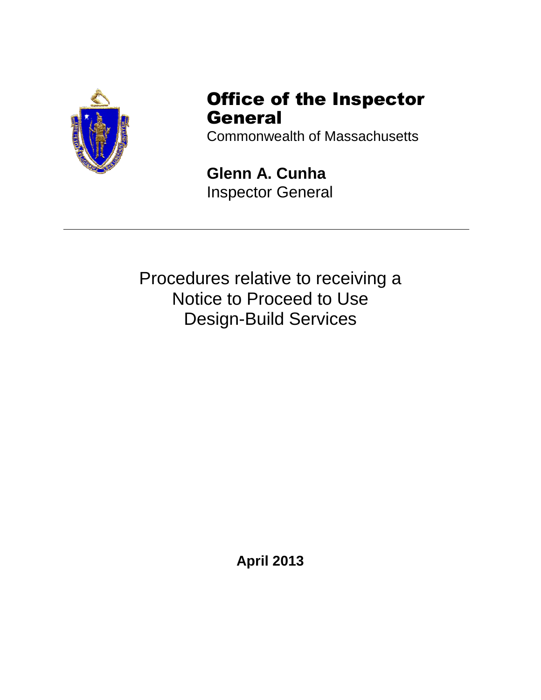| <b>Potential Advantages</b> |                                                                                                                                                                                                                                                   |           | <b>Potential Disadvantages</b>                                                                           |
|-----------------------------|---------------------------------------------------------------------------------------------------------------------------------------------------------------------------------------------------------------------------------------------------|-----------|----------------------------------------------------------------------------------------------------------|
|                             | Shared capital cost with private equity partner                                                                                                                                                                                                   | $\bullet$ | Risk of developer default                                                                                |
|                             | Reduced program capital and/or operating<br>cost due to privatization incentives such as<br>bonus payments for expedited completion of<br>construction<br>performance<br>increased<br>or<br>(measured against regulatory compliance<br>standards) | $\bullet$ | Operations<br>risk<br>(equipment<br>not<br>maintained; performance standards<br>not met, etc.)           |
|                             | Identifying long-term value for money through<br>appropriate risk transfer to private sector over<br>life of project                                                                                                                              |           | Less control of project design after DB<br>contract (if DB is used as procurement<br>method) is executed |
|                             | Introduces private sector<br>innovation<br>to<br>provide better and potentially more efficient<br>public services                                                                                                                                 | $\bullet$ | Uncontrolled change orders, to extent<br>they are not controlled<br>via the<br>negotiated contract       |
|                             | Expedited schedule                                                                                                                                                                                                                                | $\bullet$ | Unanticipated regulatory<br>changes<br>imposing additional<br>compliance<br>responsibilities             |
|                             | Ownership retention                                                                                                                                                                                                                               | $\bullet$ | Potential risk of rate increases due to<br>insurance premium hikes                                       |

## **Table 3-1 – Summary of Key P3 Potential Advantage and Disadvantages**

#### **4. Identification of Potential P3 Opportunities in Orleans**

#### **A. Exploration of Possible P3 and DB Opportunities**

The Consensus Plan calls for the provision of wastewater collection, treatment and disposal facilities to serve the approximately 350 properties in the Downtown Area. The currently proposed plan is for a collection system of gravity and low pressure sewers, a 250,000 gpd treatment facility at Overland Way (the former Tri-Town Septage Treatment Facility) , and groundwater discharge of treated effluent at a site to be confirmed. The estimated cost of that program is \$42MM. A DB or P3 to construct and operate the wastewater collection, treatment and disposal facilities could take several different forms. For example, the Town could select a DB contractor to design, construct and operate any or all of the collection, central treatment, effluent disposal, and septage management facilities. Alternatively, the Town could encourage the development of multiple cluster systems developed by one or more private developers to provide wastewater service to individual developments.

Because of interest by the Town in P3, AECOM conducted an initial workshop for the Orleans Board of Selectmen in February 2016 to provide an overview of P3 and also to discuss Design-Build as a procurement method (refer to Appendix B). The workshop generated substantial discussion, particularly because of interest on the part of a private developer owning property in the Downtown area to possibly develop a wastewater treatment and disposal system to serve his own development, and make excess capacity available to the Town.

The private developer has approximately 15 acres of property in the Downtown area. The Developer has proposed to construct a wastewater treatment and effluent disposal facility to serve his own development, and has indicated that some additional capacity may be available for additional wastewater flow from other Downtown properties. The Developer has indicated that his development would need approximately 55,000 gpd (ADF) of wastewater treatment and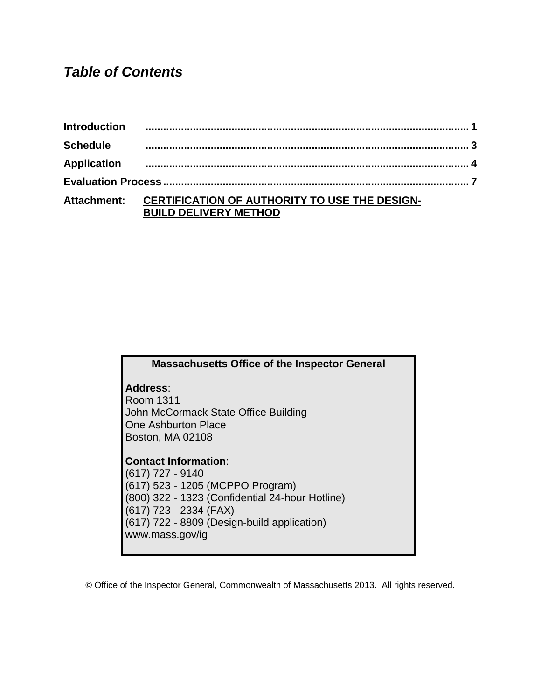disposal capacity. Initial hydrogeological study indicates that his property may have capacity to accommodate 135,000 gallons of groundwater discharge of treated effluent. The estimated capacity to serve all properties in the Downtown area is 250,000 mgd including 16,000 gpd of septage. The additional capacity provided by the private developer to treat other Downtown flow thus would not be sufficient to handle the anticipated total flow required within the planning period. The Town would need to provide additional treatment capacity of approximately 195,000 gpd, and disposal capacity of 115,000 gpd to handle flow expected to be generated in the Downtown over the course of the planning period. Thus the Town plans to continue to explore opportunities with the private developer, while still investigating options for a P3 to provide wastewater treatment and effluent disposal facility to serve a portion or all of the Downtown area.

Because there are a number of factors that need to be considered prior to proceeding with a P3, the Town is proposing to convene a Working group composed of stakeholders from different facets of the Town government, the business community and downtown residents to participate in the discussion. The Town plans to hold another workshop with a P3 Working Group in early summer to further discuss the forms a P3 may take in Orleans, the steps that are needed to pursue a P3 in Massachusetts, and potential options for the Town. A number of issues will be discussed with the Working Group including the following:

- Confirmation of components included in the P3 proposal-collection, treatment, disposal and/or septage;
- Ownership of the collection and/or treatment/disposal/septage management infrastructure;
- Capital financing plan;
- New, non-resident revenue generating sources;
- Rate-payer base and user rates;
- Engagement of all private sector entities;
- Establishing a wastewater management district;
- Defining compatible and town-acceptable rezoning plan;
- D/B, D/B/O or conventional design with contract operations including: procurement plan, key terms and conditions (T&Cs);
- Establishing a "phased" build-out of downtown with respect to D/B/O contract provisions;
- Regulatory acceptance;
- Monitoring and Regulatory compliance- who is responsible and who pays; and
- Operation and maintenance requirements for the Town.

The list of questions and topics to be discussed will be further developed in advance of the workshop so that the workshop will provide a solid basis for the Town to decide whether there is sufficient basis to pursue a P3 as a cornerstone of the Water Quality and Wastewater Management Program.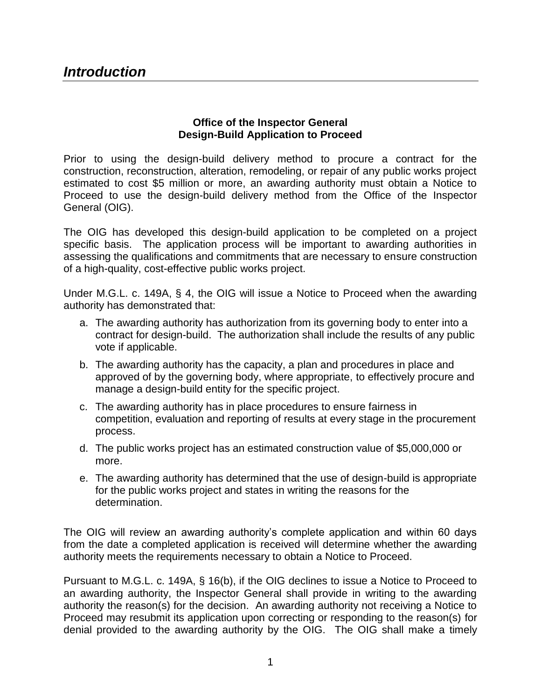# **B. Risk Assessment**

As noted above, before proceeding with a P3, the Town should fully understand the potential risks and potential benefits. An initial risk assessment is proposed to be held with the P3 Working Group as part of the FY 17 work effort, because understanding some of the key risks will help the Town determine what form of P3 may be most advantageous considering cost, schedule, performance and other factors. It is expected that an initial risk assessment discussion will be incorporated into one of the workshops the Town will hold with the P3 working group prior to a Fall 2016 Town Meeting.

The risk factors fall generally into nine categories, as noted below:

- Performance Risk;
- Permitting Risk;
- Construction Risk;
- Operations and Maintenance Risk;
- Change in Service Patterns;
- Financing Risks; and
- Changes in Laws/Regulations.

Identifying the risks and minimizing the unknowns is important as it will help reduce contingencies that add to costs, and result in greater impact to the rate payers.

# **5. DB and/or P3 Can Results in Reduction in Total Program Cost to the Town**

Specific details of possible P3 and DB scenarios will be developed in conjunction with the P3 Working Group. As a representative case to demonstrate the financial benefit of a DB to the Town, a DB scenario was developed and run in which savings of up to 21 percent of the capital cost of the collection, treatment, effluent disposal and septage management facilities for the Downtown and up to an additional 7 percent of operating costs are realized. These percentage reductions are based on the average cost reductions in over ten different DB/DBO projects that AECOM has direct experience working on. This savings translates to reduced cost to the Town and greater affordability of the program to ratepayers.

#### **6. Next Steps**

As noted above the Town plans to convene a P3/DB Working Group to further investigate and discuss the potential for P3/DB as part of the Water Quality and Wastewater Management program. The Working Group will consist of representatives from the Planning Board and Finance Committee, Board of Selectman, DPW, downtown businesses, and downtown residents. The Working Group will be led by a team of experienced legal, financial and engineering consultants assisting the Town. The goal of the Working Group will be to recommend whether the Town should continue to consider P3/DB as a viable alternative for the Town, and if so, what form it should take.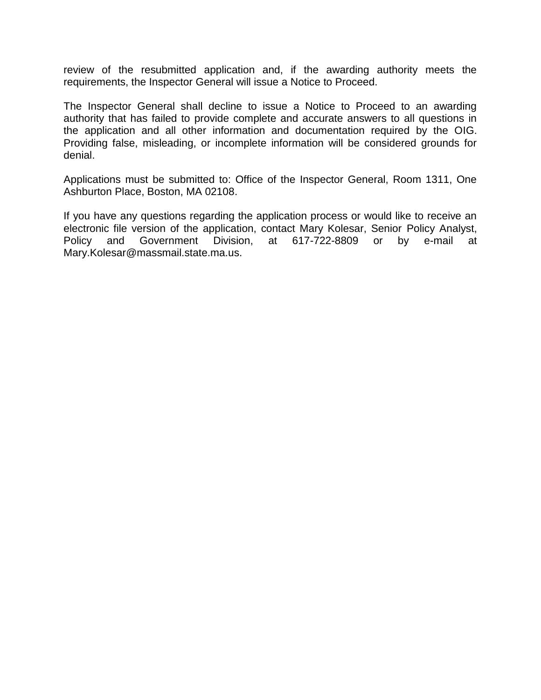# **Appendix A**

Massachusetts Alternative Delivery Application per M.G.L. c 149A